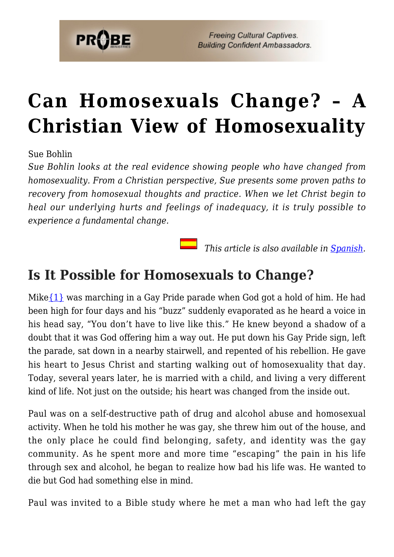

# **[Can Homosexuals Change? – A](https://probe.org/can-homosexuals-change/) [Christian View of Homosexuality](https://probe.org/can-homosexuals-change/)**

Sue Bohlin

*Sue Bohlin looks at the real evidence showing people who have changed from homosexuality. From a Christian perspective, Sue presents some proven paths to recovery from homosexual thoughts and practice. When we let Christ begin to heal our underlying hurts and feelings of inadequacy, it is truly possible to experience a fundamental change.*

 *This article is also available in [Spanish.](https://www.ministeriosprobe.org/docs/conv-musulman.html)*

### **Is It Possible for Homosexuals to Change?**

Mike <sup>1</sup>} was marching in a Gay Pride parade when God got a hold of him. He had been high for four days and his "buzz" suddenly evaporated as he heard a voice in his head say, "You don't have to live like this." He knew beyond a shadow of a doubt that it was God offering him a way out. He put down his Gay Pride sign, left the parade, sat down in a nearby stairwell, and repented of his rebellion. He gave his heart to Jesus Christ and starting walking out of homosexuality that day. Today, several years later, he is married with a child, and living a very different kind of life. Not just on the outside; his heart was changed from the inside out.

Paul was on a self-destructive path of drug and alcohol abuse and homosexual activity. When he told his mother he was gay, she threw him out of the house, and the only place he could find belonging, safety, and identity was the gay community. As he spent more and more time "escaping" the pain in his life through sex and alcohol, he began to realize how bad his life was. He wanted to die but God had something else in mind.

Paul was invited to a Bible study where he met a man who had left the gay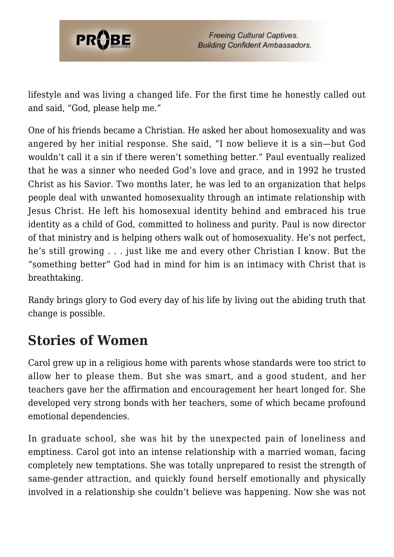

lifestyle and was living a changed life. For the first time he honestly called out and said, "God, please help me."

One of his friends became a Christian. He asked her about homosexuality and was angered by her initial response. She said, "I now believe it is a sin—but God wouldn't call it a sin if there weren't something better." Paul eventually realized that he was a sinner who needed God's love and grace, and in 1992 he trusted Christ as his Savior. Two months later, he was led to an organization that helps people deal with unwanted homosexuality through an intimate relationship with Jesus Christ. He left his homosexual identity behind and embraced his true identity as a child of God, committed to holiness and purity. Paul is now director of that ministry and is helping others walk out of homosexuality. He's not perfect, he's still growing . . . just like me and every other Christian I know. But the "something better" God had in mind for him is an intimacy with Christ that is breathtaking.

Randy brings glory to God every day of his life by living out the abiding truth that change is possible.

#### **Stories of Women**

Carol grew up in a religious home with parents whose standards were too strict to allow her to please them. But she was smart, and a good student, and her teachers gave her the affirmation and encouragement her heart longed for. She developed very strong bonds with her teachers, some of which became profound emotional dependencies.

In graduate school, she was hit by the unexpected pain of loneliness and emptiness. Carol got into an intense relationship with a married woman, facing completely new temptations. She was totally unprepared to resist the strength of same-gender attraction, and quickly found herself emotionally and physically involved in a relationship she couldn't believe was happening. Now she was not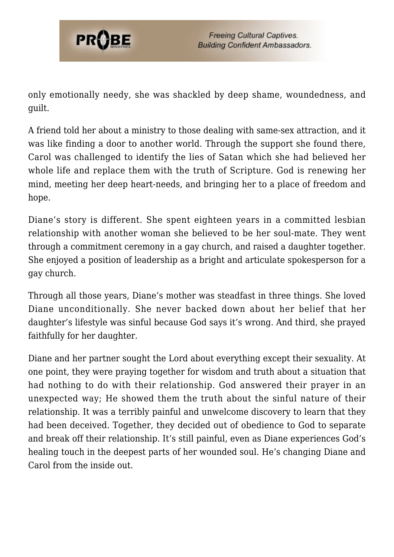

only emotionally needy, she was shackled by deep shame, woundedness, and guilt.

A friend told her about a ministry to those dealing with same-sex attraction, and it was like finding a door to another world. Through the support she found there, Carol was challenged to identify the lies of Satan which she had believed her whole life and replace them with the truth of Scripture. God is renewing her mind, meeting her deep heart-needs, and bringing her to a place of freedom and hope.

Diane's story is different. She spent eighteen years in a committed lesbian relationship with another woman she believed to be her soul-mate. They went through a commitment ceremony in a gay church, and raised a daughter together. She enjoyed a position of leadership as a bright and articulate spokesperson for a gay church.

Through all those years, Diane's mother was steadfast in three things. She loved Diane unconditionally. She never backed down about her belief that her daughter's lifestyle was sinful because God says it's wrong. And third, she prayed faithfully for her daughter.

Diane and her partner sought the Lord about everything except their sexuality. At one point, they were praying together for wisdom and truth about a situation that had nothing to do with their relationship. God answered their prayer in an unexpected way; He showed them the truth about the sinful nature of their relationship. It was a terribly painful and unwelcome discovery to learn that they had been deceived. Together, they decided out of obedience to God to separate and break off their relationship. It's still painful, even as Diane experiences God's healing touch in the deepest parts of her wounded soul. He's changing Diane and Carol from the inside out.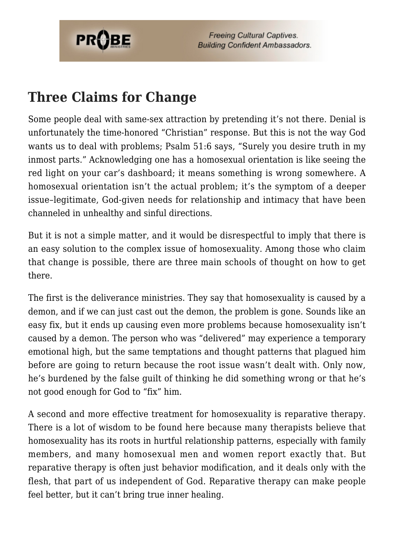

# **Three Claims for Change**

Some people deal with same-sex attraction by pretending it's not there. Denial is unfortunately the time-honored "Christian" response. But this is not the way God wants us to deal with problems; Psalm 51:6 says, "Surely you desire truth in my inmost parts." Acknowledging one has a homosexual orientation is like seeing the red light on your car's dashboard; it means something is wrong somewhere. A homosexual orientation isn't the actual problem; it's the symptom of a deeper issue–legitimate, God-given needs for relationship and intimacy that have been channeled in unhealthy and sinful directions.

But it is not a simple matter, and it would be disrespectful to imply that there is an easy solution to the complex issue of homosexuality. Among those who claim that change is possible, there are three main schools of thought on how to get there.

The first is the deliverance ministries. They say that homosexuality is caused by a demon, and if we can just cast out the demon, the problem is gone. Sounds like an easy fix, but it ends up causing even more problems because homosexuality isn't caused by a demon. The person who was "delivered" may experience a temporary emotional high, but the same temptations and thought patterns that plagued him before are going to return because the root issue wasn't dealt with. Only now, he's burdened by the false guilt of thinking he did something wrong or that he's not good enough for God to "fix" him.

A second and more effective treatment for homosexuality is reparative therapy. There is a lot of wisdom to be found here because many therapists believe that homosexuality has its roots in hurtful relationship patterns, especially with family members, and many homosexual men and women report exactly that. But reparative therapy is often just behavior modification, and it deals only with the flesh, that part of us independent of God. Reparative therapy can make people feel better, but it can't bring true inner healing.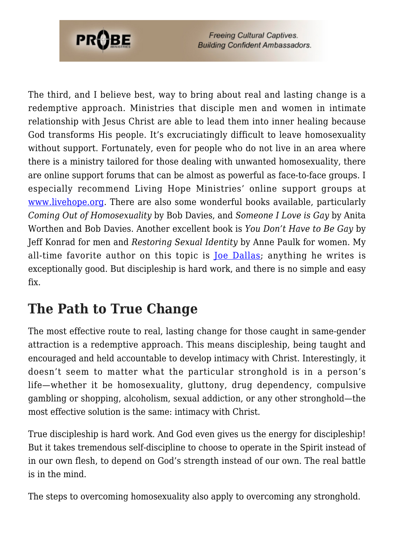

**Freeing Cultural Captives. Building Confident Ambassadors.** 

The third, and I believe best, way to bring about real and lasting change is a redemptive approach. Ministries that disciple men and women in intimate relationship with Jesus Christ are able to lead them into inner healing because God transforms His people. It's excruciatingly difficult to leave homosexuality without support. Fortunately, even for people who do not live in an area where there is a ministry tailored for those dealing with unwanted homosexuality, there are online support forums that can be almost as powerful as face-to-face groups. I especially recommend Living Hope Ministries' online support groups at [www.livehope.org](http://www.livehope.org). There are also some wonderful books available, particularly *Coming Out of Homosexuality* by Bob Davies, and *Someone I Love is Gay* by Anita Worthen and Bob Davies. Another excellent book is *You Don't Have to Be Gay* by Jeff Konrad for men and *Restoring Sexual Identity* by Anne Paulk for women. My all-time favorite author on this topic is <u>Joe Dallas</u>; anything he writes is exceptionally good. But discipleship is hard work, and there is no simple and easy fix.

# **The Path to True Change**

The most effective route to real, lasting change for those caught in same-gender attraction is a redemptive approach. This means discipleship, being taught and encouraged and held accountable to develop intimacy with Christ. Interestingly, it doesn't seem to matter what the particular stronghold is in a person's life—whether it be homosexuality, gluttony, drug dependency, compulsive gambling or shopping, alcoholism, sexual addiction, or any other stronghold—the most effective solution is the same: intimacy with Christ.

True discipleship is hard work. And God even gives us the energy for discipleship! But it takes tremendous self-discipline to choose to operate in the Spirit instead of in our own flesh, to depend on God's strength instead of our own. The real battle is in the mind.

The steps to overcoming homosexuality also apply to overcoming any stronghold.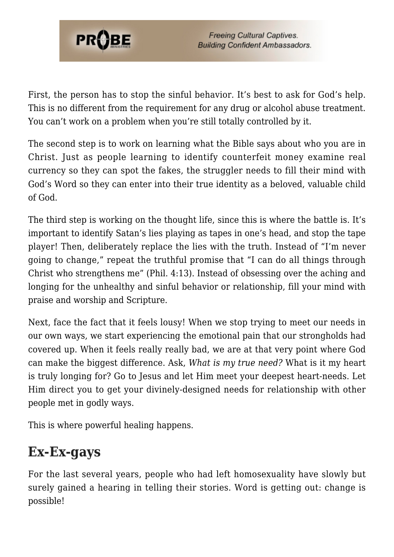

First, the person has to stop the sinful behavior. It's best to ask for God's help. This is no different from the requirement for any drug or alcohol abuse treatment. You can't work on a problem when you're still totally controlled by it.

The second step is to work on learning what the Bible says about who you are in Christ. Just as people learning to identify counterfeit money examine real currency so they can spot the fakes, the struggler needs to fill their mind with God's Word so they can enter into their true identity as a beloved, valuable child of God.

The third step is working on the thought life, since this is where the battle is. It's important to identify Satan's lies playing as tapes in one's head, and stop the tape player! Then, deliberately replace the lies with the truth. Instead of "I'm never going to change," repeat the truthful promise that "I can do all things through Christ who strengthens me" (Phil. 4:13). Instead of obsessing over the aching and longing for the unhealthy and sinful behavior or relationship, fill your mind with praise and worship and Scripture.

Next, face the fact that it feels lousy! When we stop trying to meet our needs in our own ways, we start experiencing the emotional pain that our strongholds had covered up. When it feels really really bad, we are at that very point where God can make the biggest difference. Ask, *What is my true need?* What is it my heart is truly longing for? Go to Jesus and let Him meet your deepest heart-needs. Let Him direct you to get your divinely-designed needs for relationship with other people met in godly ways.

This is where powerful healing happens.

# **Ex-Ex-gays**

For the last several years, people who had left homosexuality have slowly but surely gained a hearing in telling their stories. Word is getting out: change is possible!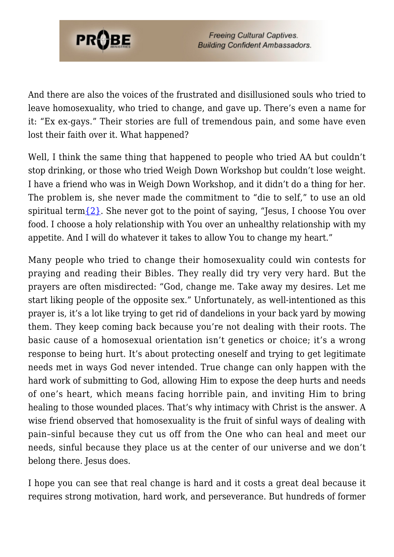

**Freeing Cultural Captives. Building Confident Ambassadors.** 

And there are also the voices of the frustrated and disillusioned souls who tried to leave homosexuality, who tried to change, and gave up. There's even a name for it: "Ex ex-gays." Their stories are full of tremendous pain, and some have even lost their faith over it. What happened?

Well, I think the same thing that happened to people who tried AA but couldn't stop drinking, or those who tried Weigh Down Workshop but couldn't lose weight. I have a friend who was in Weigh Down Workshop, and it didn't do a thing for her. The problem is, she never made the commitment to "die to self," to use an old spiritual term $\{2\}$ . She never got to the point of saying, "Jesus, I choose You over food. I choose a holy relationship with You over an unhealthy relationship with my appetite. And I will do whatever it takes to allow You to change my heart."

Many people who tried to change their homosexuality could win contests for praying and reading their Bibles. They really did try very very hard. But the prayers are often misdirected: "God, change me. Take away my desires. Let me start liking people of the opposite sex." Unfortunately, as well-intentioned as this prayer is, it's a lot like trying to get rid of dandelions in your back yard by mowing them. They keep coming back because you're not dealing with their roots. The basic cause of a homosexual orientation isn't genetics or choice; it's a wrong response to being hurt. It's about protecting oneself and trying to get legitimate needs met in ways God never intended. True change can only happen with the hard work of submitting to God, allowing Him to expose the deep hurts and needs of one's heart, which means facing horrible pain, and inviting Him to bring healing to those wounded places. That's why intimacy with Christ is the answer. A wise friend observed that homosexuality is the fruit of sinful ways of dealing with pain–sinful because they cut us off from the One who can heal and meet our needs, sinful because they place us at the center of our universe and we don't belong there. Jesus does.

I hope you can see that real change is hard and it costs a great deal because it requires strong motivation, hard work, and perseverance. But hundreds of former